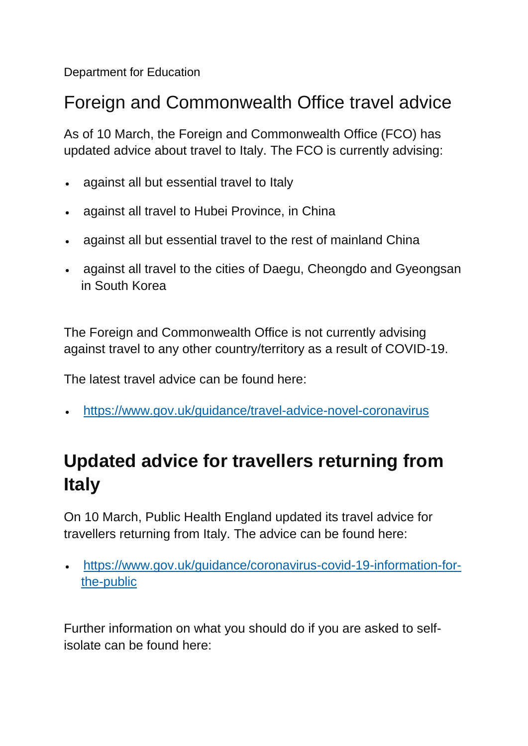Department for Education

#### Foreign and Commonwealth Office travel advice

As of 10 March, the Foreign and Commonwealth Office (FCO) has updated advice about travel to Italy. The FCO is currently advising:

- against all but essential travel to Italy
- against all travel to Hubei Province, in China
- against all but essential travel to the rest of mainland China
- against all travel to the cities of Daegu, Cheongdo and Gyeongsan in South Korea

The Foreign and Commonwealth Office is not currently advising against travel to any other country/territory as a result of COVID-19.

The latest travel advice can be found here:

<https://www.gov.uk/guidance/travel-advice-novel-coronavirus>

# **Updated advice for travellers returning from Italy**

On 10 March, Public Health England updated its travel advice for travellers returning from Italy. The advice can be found here:

 [https://www.gov.uk/guidance/coronavirus-covid-19-information-for](https://www.gov.uk/guidance/coronavirus-covid-19-information-for-the-public)[the-public](https://www.gov.uk/guidance/coronavirus-covid-19-information-for-the-public)

Further information on what you should do if you are asked to selfisolate can be found here: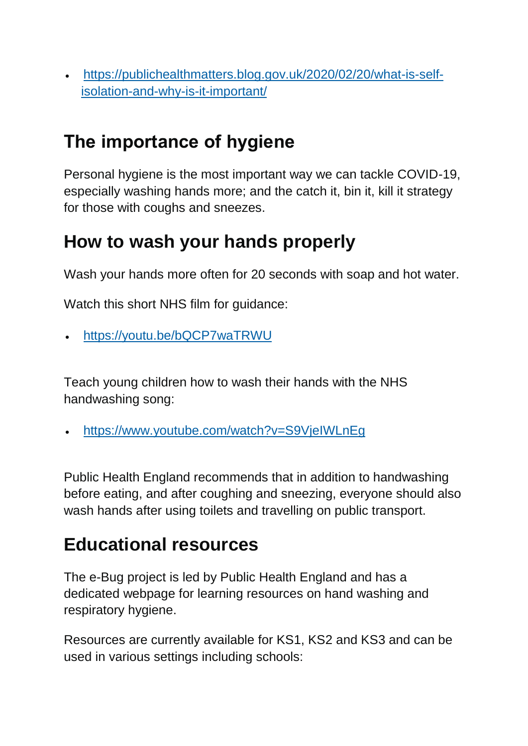[https://publichealthmatters.blog.gov.uk/2020/02/20/what-is-self](https://publichealthmatters.blog.gov.uk/2020/02/20/what-is-self-isolation-and-why-is-it-important/)[isolation-and-why-is-it-important/](https://publichealthmatters.blog.gov.uk/2020/02/20/what-is-self-isolation-and-why-is-it-important/)

# **The importance of hygiene**

Personal hygiene is the most important way we can tackle COVID-19, especially washing hands more; and the catch it, bin it, kill it strategy for those with coughs and sneezes.

### **How to wash your hands properly**

Wash your hands more often for 20 seconds with soap and hot water.

Watch this short NHS film for guidance:

<https://youtu.be/bQCP7waTRWU>

Teach young children how to wash their hands with the NHS handwashing song:

<https://www.youtube.com/watch?v=S9VjeIWLnEg>

Public Health England recommends that in addition to handwashing before eating, and after coughing and sneezing, everyone should also wash hands after using toilets and travelling on public transport.

## **Educational resources**

The e-Bug project is led by Public Health England and has a dedicated webpage for learning resources on hand washing and respiratory hygiene.

Resources are currently available for KS1, KS2 and KS3 and can be used in various settings including schools: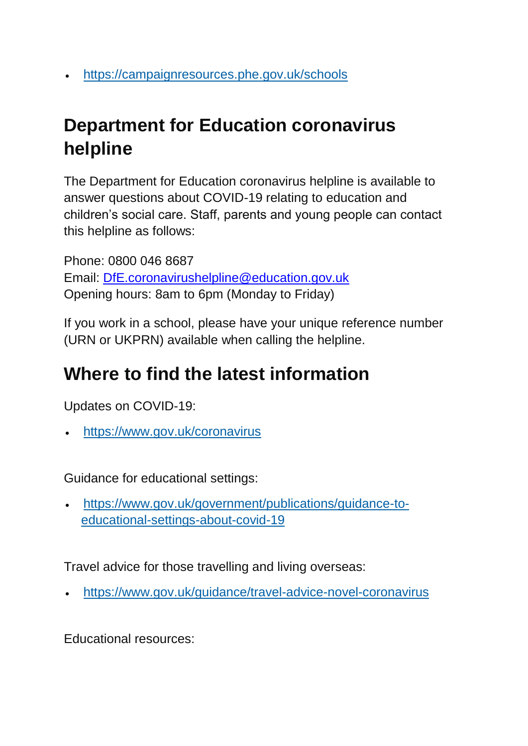<https://campaignresources.phe.gov.uk/schools>

# **Department for Education coronavirus helpline**

The Department for Education coronavirus helpline is available to answer questions about COVID-19 relating to education and children's social care. Staff, parents and young people can contact this helpline as follows:

Phone: 0800 046 8687 Email: [DfE.coronavirushelpline@education.gov.uk](mailto:DfE.coronavirushelpline@education.gov.uk) Opening hours: 8am to 6pm (Monday to Friday)

If you work in a school, please have your unique reference number (URN or UKPRN) available when calling the helpline.

### **Where to find the latest information**

Updates on COVID-19:

<https://www.gov.uk/coronavirus>

Guidance for educational settings:

 [https://www.gov.uk/government/publications/guidance-to](https://www.gov.uk/government/publications/guidance-to-educational-settings-about-covid-19)[educational-settings-about-covid-19](https://www.gov.uk/government/publications/guidance-to-educational-settings-about-covid-19)

Travel advice for those travelling and living overseas:

<https://www.gov.uk/guidance/travel-advice-novel-coronavirus>

Educational resources: